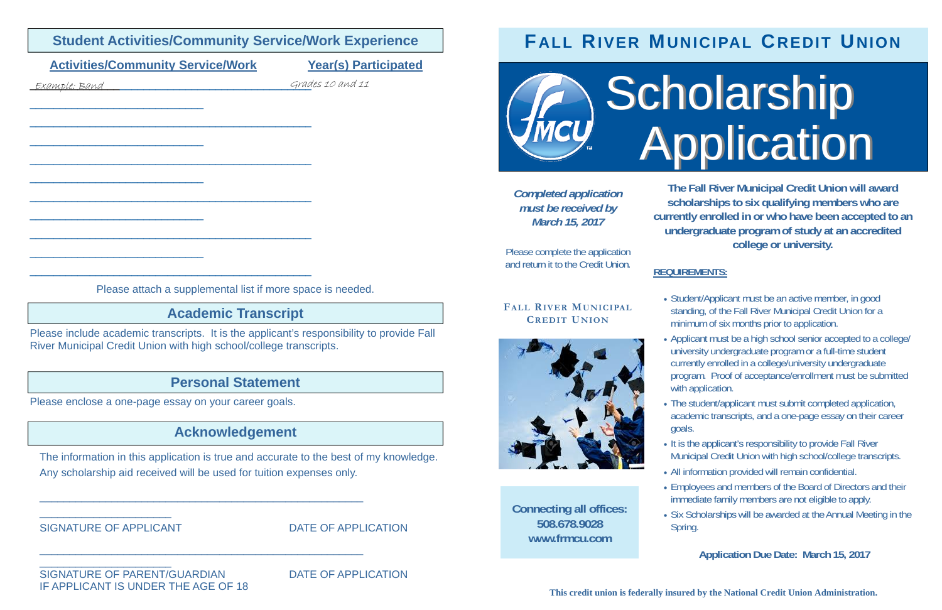| <b>Activities/Community Service/Work</b><br><u>Example: Band</u>                                                                                                | <b>Year(s) Participated</b><br>Grades 10 and 11 |                                                                              |
|-----------------------------------------------------------------------------------------------------------------------------------------------------------------|-------------------------------------------------|------------------------------------------------------------------------------|
|                                                                                                                                                                 |                                                 | <b>Completed application</b><br>must be received by<br><b>March 16, 2018</b> |
|                                                                                                                                                                 |                                                 | Please complete the application<br>and return it to the Credit Union.        |
| Please attach a supplemental list if more space is needed.                                                                                                      |                                                 | <b>FALL RIVER MUNICIPAL</b>                                                  |
| <b>Academic Transcript</b>                                                                                                                                      | <b>CREDIT UNION</b>                             |                                                                              |
| Please include academic transcripts. It is the applicant's responsibility to provide Fall<br>River Municipal Credit Union with high school/college transcripts. |                                                 |                                                                              |
| <b>Personal Statement</b>                                                                                                                                       |                                                 |                                                                              |
| Please enclose a one-page essay on your career goals.                                                                                                           |                                                 |                                                                              |
| <b>Acknowledgement</b>                                                                                                                                          |                                                 |                                                                              |
| The information in this application is true and accurate to the best of my knowledge.<br>Any scholarship aid received will be used for tuition expenses only.   |                                                 | <b>Connecting all offices:</b><br>508.678.9028<br>www.frmcu.com              |
| <b>SIGNATURE OF APPLICANT</b>                                                                                                                                   | <b>DATE OF APPLICATION</b>                      |                                                                              |
|                                                                                                                                                                 |                                                 |                                                                              |

**Student Activities/Community Service/Work Experience** 

SIGNATURE OF PARENT/GUARDIAN DATE OF APPLICATION IF APPLICANT IS UNDER THE AGE OF 18

 $\overline{\phantom{a}}$  , and the contract of the contract of the contract of the contract of the contract of the contract of the contract of the contract of the contract of the contract of the contract of the contract of the contrac

• Student/Applicant must be an active member, in good standing, of the Fall River Municipal Credit Union for a minimum of six months prior to application.

Applicant must be a high school senior accepted to a college/ university undergraduate program or a full-time student currently enrolled in a college/university undergraduate program. Proof of acceptance/enrollment must be submitted with application.

• It is the applicant's responsibility to provide Fall River Municipal Credit Union with high school/college transcripts.

## **FALL RIVER MUNICIPAL CREDIT UNION**

**MUNICIPAL** 



**This credit union is federally insured by the National Credit Union Administration.** 

**The Fall River Municipal Credit Union will award scholarships to six qualifying members who are currently enrolled in or who have been accepted to an undergraduate program of study at an accredited college or university.** 

### **REQUIREMENTS:**

 The student/applicant must submit completed application, academic transcripts, and a one-page essay on their career

All information provided will remain confidential.

- 
- goals.
- 
- 
- Spring.

 Employees and members of the Board of Directors and their immediate family members are not eligible to apply.

• Six Scholarships will be awarded at the Annual Meeting in the

#### **Application Due Date: March 16, 2018**